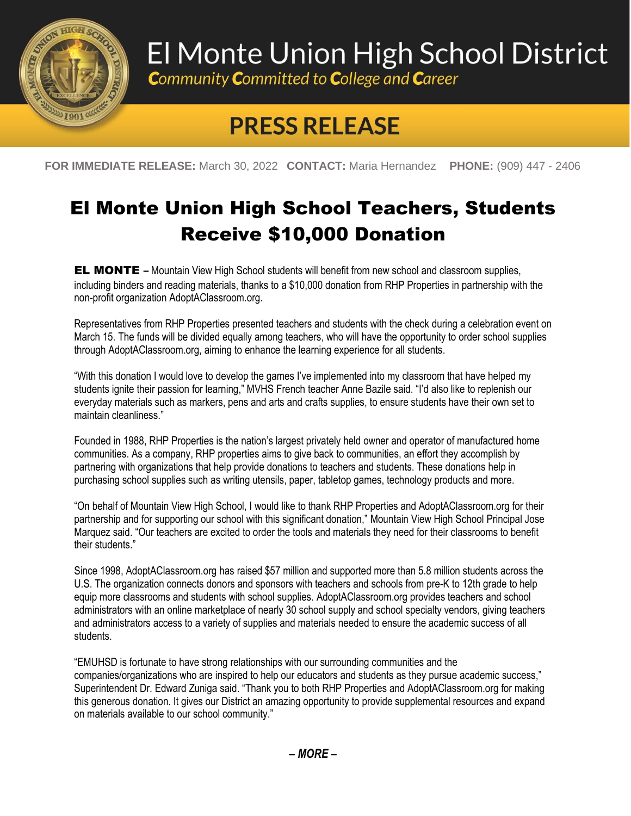

## El Monte Union High School District

**Community Committed to College and Career** 

## **PRESS RELEASE**

**FOR IMMEDIATE RELEASE:** March 30, 2022 **CONTACT:** Maria Hernandez **PHONE:** (909) 447 - 2406

## El Monte Union High School Teachers, Students Receive \$10,000 Donation

EL MONTE **–** Mountain View High School students will benefit from new school and classroom supplies, including binders and reading materials, thanks to a \$10,000 donation from RHP Properties in partnership with the non-profit organization AdoptAClassroom.org.

Representatives from RHP Properties presented teachers and students with the check during a celebration event on March 15. The funds will be divided equally among teachers, who will have the opportunity to order school supplies through AdoptAClassroom.org, aiming to enhance the learning experience for all students.

"With this donation I would love to develop the games I've implemented into my classroom that have helped my students ignite their passion for learning," MVHS French teacher Anne Bazile said. "I'd also like to replenish our everyday materials such as markers, pens and arts and crafts supplies, to ensure students have their own set to maintain cleanliness."

Founded in 1988, RHP Properties is the nation's largest privately held owner and operator of manufactured home communities. As a company, RHP properties aims to give back to communities, an effort they accomplish by partnering with organizations that help provide donations to teachers and students. These donations help in purchasing school supplies such as writing utensils, paper, tabletop games, technology products and more.

"On behalf of Mountain View High School, I would like to thank RHP Properties and AdoptAClassroom.org for their partnership and for supporting our school with this significant donation," Mountain View High School Principal Jose Marquez said. "Our teachers are excited to order the tools and materials they need for their classrooms to benefit their students."

Since 1998, AdoptAClassroom.org has raised \$57 million and supported more than 5.8 million students across the U.S. The organization connects donors and sponsors with teachers and schools from pre-K to 12th grade to help equip more classrooms and students with school supplies. AdoptAClassroom.org provides teachers and school administrators with an online marketplace of nearly 30 school supply and school specialty vendors, giving teachers and administrators access to a variety of supplies and materials needed to ensure the academic success of all students.

"EMUHSD is fortunate to have strong relationships with our surrounding communities and the companies/organizations who are inspired to help our educators and students as they pursue academic success," Superintendent Dr. Edward Zuniga said. "Thank you to both RHP Properties and AdoptAClassroom.org for making this generous donation. It gives our District an amazing opportunity to provide supplemental resources and expand on materials available to our school community."